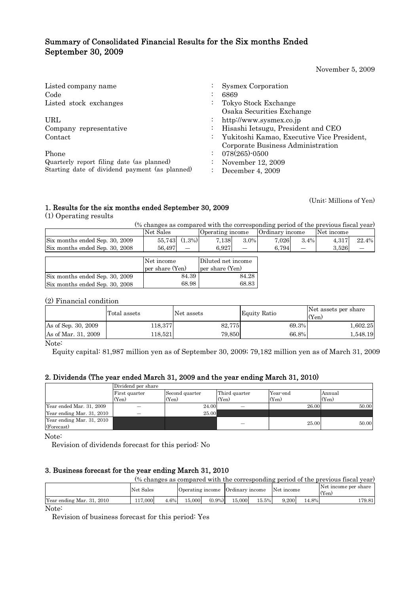## Summary of Consolidated Financial Results for the Six months Ended September 30, 2009

November 5, 2009

| Listed company name                            | <b>Sysmex Corporation</b>                  |
|------------------------------------------------|--------------------------------------------|
| Code                                           | 6869                                       |
| Listed stock exchanges                         | Tokyo Stock Exchange                       |
|                                                | Osaka Securities Exchange                  |
| URL                                            | http://www.sysmex.co.jp                    |
| Company representative                         | Hisashi Ietsugu, President and CEO         |
| Contact                                        | Yukitoshi Kamao, Executive Vice President, |
|                                                | Corporate Business Administration          |
| Phone                                          | $078(265)$ -0500                           |
| Quarterly report filing date (as planned)      | November 12, 2009                          |
| Starting date of dividend payment (as planned) | December 4, 2009                           |

# 1. Results for the six months ended September 30, 2009 (Unit: Millions of Yen)

(1) Operating results

(% changes as compared with the corresponding period of the previous fiscal year)

|                                | Net Sales           | Operating income   | Ordinary income | Net income     |
|--------------------------------|---------------------|--------------------|-----------------|----------------|
| Six months ended Sep. 30, 2009 | $(1.3\%)$<br>55,743 | $3.0\%$<br>7.138   | 7.026<br>3.4%   | 22.4%<br>4,317 |
| Six months ended Sep. 30, 2008 | 56.497              | 6.927              | 6,794           | 3.526          |
|                                |                     |                    |                 |                |
|                                | Net income          | Diluted net income |                 |                |
|                                | per share (Yen)     | per share (Yen)    |                 |                |
| Six months ended Sep. 30, 2009 | 84.39               | 84.28              |                 |                |
| Six months ended Sep. 30, 2008 | 68.98               | 68.83              |                 |                |

(2) Financial condition

|                     | Total assets | Net assets | <b>Equity Ratio</b> | Net assets per share<br>(Yen) |
|---------------------|--------------|------------|---------------------|-------------------------------|
| As of Sep. 30, 2009 | 118,377      | 82,775     | 69.3%               | 1,602.25                      |
| As of Mar. 31, 2009 | 118.521      | 79.850     | 66.8%               | 1,548.19                      |

Note:

Equity capital: 81,987 million yen as of September 30, 2009; 79,182 million yen as of March 31, 2009

#### 2. Dividends (The year ended March 31, 2009 and the year ending March 31, 2010)

|                                         | Dividend per share |                |               |          |        |
|-----------------------------------------|--------------------|----------------|---------------|----------|--------|
|                                         | First quarter      | Second quarter | Third quarter | Year-end | Annual |
|                                         | (Yen)              | (Yen)          | (Yen)         | (Yen)    | (Yen)  |
| Year ended Mar. 31, 2009                |                    | 24.00          |               | 26.00    | 50.00  |
| Year ending Mar. 31, 2010               |                    | 25.00          |               |          |        |
| Year ending Mar. 31, 2010<br>(Forecast) |                    |                |               | 25.00    | 50.00  |

Note:

Revision of dividends forecast for this period: No

#### 3. Business forecast for the year ending March 31, 2010

(% changes as compared with the corresponding period of the previous fiscal year)

|                               | Net Sales |        | Operating income |           | Ordinary income |       | Net income |       | Net income per share<br>(Yen) |
|-------------------------------|-----------|--------|------------------|-----------|-----------------|-------|------------|-------|-------------------------------|
| Year ending Mar. 31,<br>-2010 | 117.000   | $.6\%$ | 15,000           | $(0.9\%)$ | 15,000          | 15.5% | 0.200      | 14.8% | 179.81                        |

Note:

Revision of business forecast for this period: Yes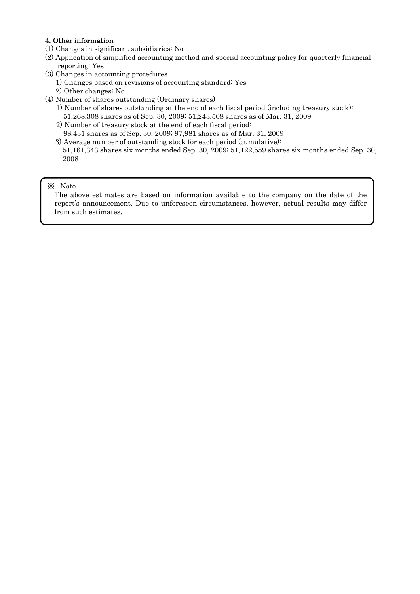#### 4. Other information

- (1) Changes in significant subsidiaries: No
- (2) Application of simplified accounting method and special accounting policy for quarterly financial reporting: Yes
- (3) Changes in accounting procedures
	- 1) Changes based on revisions of accounting standard: Yes
	- 2) Other changes: No
- (4) Number of shares outstanding (Ordinary shares)
	- 1) Number of shares outstanding at the end of each fiscal period (including treasury stock):
		- 51,268,308 shares as of Sep. 30, 2009; 51,243,508 shares as of Mar. 31, 2009
	- 2) Number of treasury stock at the end of each fiscal period:
	- 98,431 shares as of Sep. 30, 2009; 97,981 shares as of Mar. 31, 2009
	- 3) Average number of outstanding stock for each period (cumulative): 51,161,343 shares six months ended Sep. 30, 2009; 51,122,559 shares six months ended Sep. 30, 2008

#### ※ Note

The above estimates are based on information available to the company on the date of the report's announcement. Due to unforeseen circumstances, however, actual results may differ from such estimates.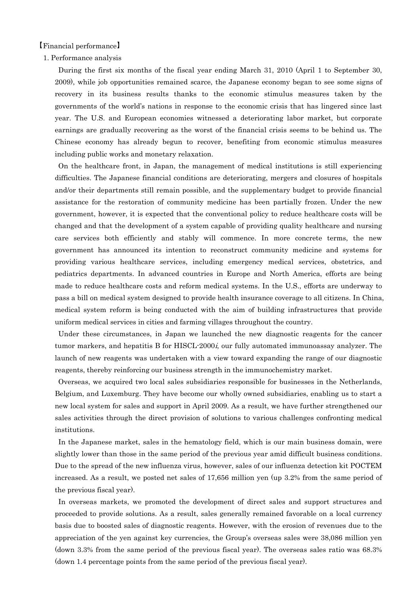【Financial performance】

#### 1. Performance analysis

During the first six months of the fiscal year ending March 31, 2010 (April 1 to September 30, 2009), while job opportunities remained scarce, the Japanese economy began to see some signs of recovery in its business results thanks to the economic stimulus measures taken by the governments of the world's nations in response to the economic crisis that has lingered since last year. The U.S. and European economies witnessed a deteriorating labor market, but corporate earnings are gradually recovering as the worst of the financial crisis seems to be behind us. The Chinese economy has already begun to recover, benefiting from economic stimulus measures including public works and monetary relaxation.

On the healthcare front, in Japan, the management of medical institutions is still experiencing difficulties. The Japanese financial conditions are deteriorating, mergers and closures of hospitals and/or their departments still remain possible, and the supplementary budget to provide financial assistance for the restoration of community medicine has been partially frozen. Under the new government, however, it is expected that the conventional policy to reduce healthcare costs will be changed and that the development of a system capable of providing quality healthcare and nursing care services both efficiently and stably will commence. In more concrete terms, the new government has announced its intention to reconstruct community medicine and systems for providing various healthcare services, including emergency medical services, obstetrics, and pediatrics departments. In advanced countries in Europe and North America, efforts are being made to reduce healthcare costs and reform medical systems. In the U.S., efforts are underway to pass a bill on medical system designed to provide health insurance coverage to all citizens. In China, medical system reform is being conducted with the aim of building infrastructures that provide uniform medical services in cities and farming villages throughout the country.

Under these circumstances, in Japan we launched the new diagnostic reagents for the cancer tumor markers, and hepatitis B for HISCL-2000*i*, our fully automated immunoassay analyzer. The launch of new reagents was undertaken with a view toward expanding the range of our diagnostic reagents, thereby reinforcing our business strength in the immunochemistry market.

Overseas, we acquired two local sales subsidiaries responsible for businesses in the Netherlands, Belgium, and Luxemburg. They have become our wholly owned subsidiaries, enabling us to start a new local system for sales and support in April 2009. As a result, we have further strengthened our sales activities through the direct provision of solutions to various challenges confronting medical institutions.

In the Japanese market, sales in the hematology field, which is our main business domain, were slightly lower than those in the same period of the previous year amid difficult business conditions. Due to the spread of the new influenza virus, however, sales of our influenza detection kit POCTEM increased. As a result, we posted net sales of 17,656 million yen (up 3.2% from the same period of the previous fiscal year).

In overseas markets, we promoted the development of direct sales and support structures and proceeded to provide solutions. As a result, sales generally remained favorable on a local currency basis due to boosted sales of diagnostic reagents. However, with the erosion of revenues due to the appreciation of the yen against key currencies, the Group's overseas sales were 38,086 million yen (down 3.3% from the same period of the previous fiscal year). The overseas sales ratio was 68.3% (down 1.4 percentage points from the same period of the previous fiscal year).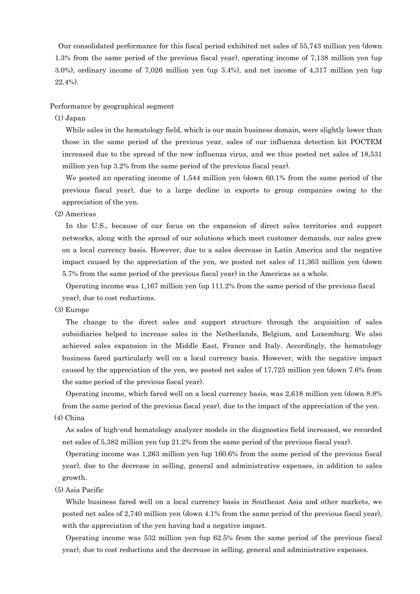Our consolidated performance for this fiscal period exhibited net sales of 55,743 million yen (down 1.3% from the same period of the previous fiscal year), operating income of 7,138 million yen (up 3.0%), ordinary income of 7,026 million yen (up 3.4%), and net income of 4,317 million yen (up 22.4%).

Performance by geographical segment

(1) Japan

While sales in the hematology field, which is our main business domain, were slightly lower than those in the same period of the previous year, sales of our influenza detection kit POCTEM increased due to the spread of the new influenza virus, and we thus posted net sales of 18,531 million yen (up 3.2% from the same period of the previous fiscal year).

We posted an operating income of 1,544 million yen (down 60.1% from the same period of the previous fiscal year), due to a large decline in exports to group companies owing to the appreciation of the yen.

(2) Americas

In the U.S., because of our focus on the expansion of direct sales territories and support networks, along with the spread of our solutions which meet customer demands, our sales grew on a local currency basis. However, due to a sales decrease in Latin America and the negative impact caused by the appreciation of the yen, we posted net sales of 11,363 million yen (down 5.7% from the same period of the previous fiscal year) in the Americas as a whole.

Operating income was 1,167 million yen (up 111.2% from the same period of the previous fiscal year), due to cost reductions.

(3) Europe

The change to the direct sales and support structure through the acquisition of sales subsidiaries helped to increase sales in the Netherlands, Belgium, and Luxemburg. We also achieved sales expansion in the Middle East, France and Italy. Accordingly, the hematology business fared particularly well on a local currency basis. However, with the negative impact caused by the appreciation of the yen, we posted net sales of 17,725 million yen (down 7.6% from the same period of the previous fiscal year).

Operating income, which fared well on a local currency basis, was 2,618 million yen (down 8.8% from the same period of the previous fiscal year), due to the impact of the appreciation of the yen. (4) China

As sales of high-end hematology analyzer models in the diagnostics field increased, we recorded net sales of 5,382 million yen (up 21.2% from the same period of the previous fiscal year).

Operating income was 1,263 million yen (up 160.6% from the same period of the previous fiscal year), due to the decrease in selling, general and administrative expenses, in addition to sales growth.

(5) Asia Pacific

While business fared well on a local currency basis in Southeast Asia and other markets, we posted net sales of 2,740 million yen (down 4.1% from the same period of the previous fiscal year), with the appreciation of the yen having had a negative impact.

Operating income was 532 million yen (up 62.5% from the same period of the previous fiscal year), due to cost reductions and the decrease in selling, general and administrative expenses.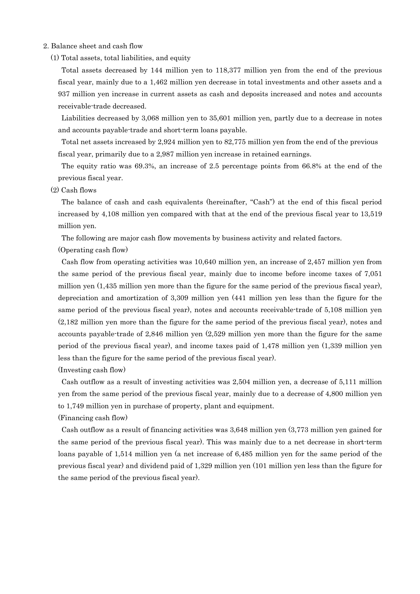#### 2. Balance sheet and cash flow

(1) Total assets, total liabilities, and equity

Total assets decreased by 144 million yen to 118,377 million yen from the end of the previous fiscal year, mainly due to a 1,462 million yen decrease in total investments and other assets and a 937 million yen increase in current assets as cash and deposits increased and notes and accounts receivable-trade decreased.

Liabilities decreased by 3,068 million yen to 35,601 million yen, partly due to a decrease in notes and accounts payable-trade and short-term loans payable.

Total net assets increased by 2,924 million yen to 82,775 million yen from the end of the previous fiscal year, primarily due to a 2,987 million yen increase in retained earnings.

The equity ratio was 69.3%, an increase of 2.5 percentage points from 66.8% at the end of the previous fiscal year.

#### (2) Cash flows

The balance of cash and cash equivalents (hereinafter, "Cash") at the end of this fiscal period increased by 4,108 million yen compared with that at the end of the previous fiscal year to 13,519 million yen.

The following are major cash flow movements by business activity and related factors.

(Operating cash flow)

Cash flow from operating activities was 10,640 million yen, an increase of 2,457 million yen from the same period of the previous fiscal year, mainly due to income before income taxes of 7,051 million yen (1,435 million yen more than the figure for the same period of the previous fiscal year), depreciation and amortization of 3,309 million yen (441 million yen less than the figure for the same period of the previous fiscal year), notes and accounts receivable-trade of 5,108 million yen (2,182 million yen more than the figure for the same period of the previous fiscal year), notes and accounts payable-trade of 2,846 million yen (2,529 million yen more than the figure for the same period of the previous fiscal year), and income taxes paid of 1,478 million yen (1,339 million yen less than the figure for the same period of the previous fiscal year).

(Investing cash flow)

Cash outflow as a result of investing activities was 2,504 million yen, a decrease of 5,111 million yen from the same period of the previous fiscal year, mainly due to a decrease of 4,800 million yen to 1,749 million yen in purchase of property, plant and equipment.

(Financing cash flow)

Cash outflow as a result of financing activities was 3,648 million yen (3,773 million yen gained for the same period of the previous fiscal year). This was mainly due to a net decrease in short-term loans payable of 1,514 million yen (a net increase of 6,485 million yen for the same period of the previous fiscal year) and dividend paid of 1,329 million yen (101 million yen less than the figure for the same period of the previous fiscal year).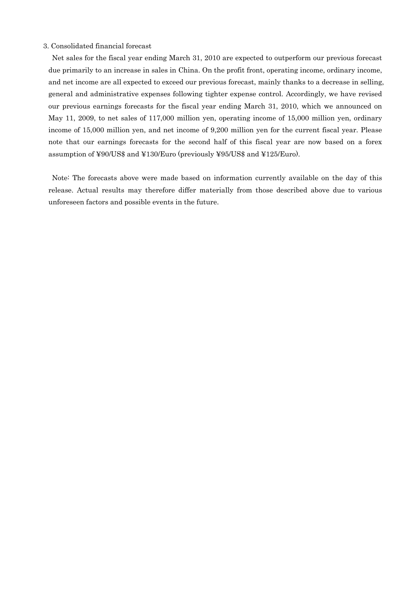#### 3. Consolidated financial forecast

Net sales for the fiscal year ending March 31, 2010 are expected to outperform our previous forecast due primarily to an increase in sales in China. On the profit front, operating income, ordinary income, and net income are all expected to exceed our previous forecast, mainly thanks to a decrease in selling, general and administrative expenses following tighter expense control. Accordingly, we have revised our previous earnings forecasts for the fiscal year ending March 31, 2010, which we announced on May 11, 2009, to net sales of 117,000 million yen, operating income of 15,000 million yen, ordinary income of 15,000 million yen, and net income of 9,200 million yen for the current fiscal year. Please note that our earnings forecasts for the second half of this fiscal year are now based on a forex assumption of ¥90/US\$ and ¥130/Euro (previously ¥95/US\$ and ¥125/Euro).

Note: The forecasts above were made based on information currently available on the day of this release. Actual results may therefore differ materially from those described above due to various unforeseen factors and possible events in the future.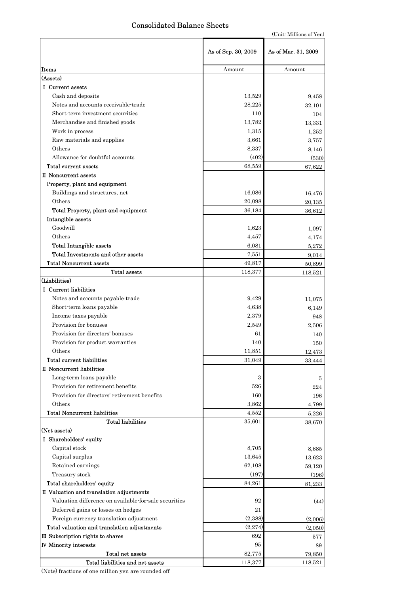### Consolidated Balance Sheets

(Unit: Millions of Yen)

|                                                       | As of Sep. 30, 2009 | As of Mar. 31, 2009 |
|-------------------------------------------------------|---------------------|---------------------|
| Items                                                 | Amount              | Amount              |
| (Assets)                                              |                     |                     |
| <b>I</b> Current assets                               |                     |                     |
| Cash and deposits                                     | 13,529              | 9,458               |
| Notes and accounts receivable trade                   | 28,225              | 32,101              |
| Short-term investment securities                      | 110                 | 104                 |
| Merchandise and finished goods                        | 13,782              | 13,331              |
| Work in process                                       | 1,315               | 1,252               |
| Raw materials and supplies                            | 3,661               | 3,757               |
| Others                                                | 8,337               | 8,146               |
| Allowance for doubtful accounts                       | (402)               | (530)               |
| Total current assets                                  | 68,559              | 67,622              |
| II Noncurrent assets                                  |                     |                     |
| Property, plant and equipment                         |                     |                     |
| Buildings and structures, net                         | 16,086              | 16,476              |
| Others                                                | 20,098              | 20,135              |
| Total Property, plant and equipment                   | 36,184              | 36,612              |
| Intangible assets                                     |                     |                     |
| Goodwill                                              | 1,623               | 1,097               |
| Others                                                | 4,457               | 4,174               |
| <b>Total Intangible assets</b>                        | 6,081               | 5,272               |
| Total Investments and other assets                    | 7,551               | 9,014               |
| Total Noncurrent assets                               | 49,817              | 50,899              |
| <b>Total assets</b>                                   | 118,377             | 118,521             |
| (Liabilities)                                         |                     |                     |
| I Current liabilities                                 |                     |                     |
| Notes and accounts payable-trade                      | 9,429               | 11,075              |
| Short-term loans payable                              | 4,638               | 6,149               |
| Income taxes payable                                  | 2,379               | 948                 |
| Provision for bonuses                                 | 2,549               | 2,506               |
| Provision for directors' bonuses                      | 61                  | 140                 |
| Provision for product warranties                      | 140                 | 150                 |
| Others                                                | 11,851              | 12,473              |
| Total current liabilities                             | 31,049              | 33,444              |
| II Noncurrent liabilities                             |                     |                     |
| Long-term loans payable                               | 3                   | 5                   |
| Provision for retirement benefits                     | 526                 | 224                 |
| Provision for directors' retirement benefits          | 160                 | 196                 |
| Others                                                | 3,862               | 4,799               |
| <b>Total Noncurrent liabilities</b>                   | 4,552               | 5,226               |
| <b>Total liabilities</b>                              | 35,601              | 38,670              |
| (Net assets)                                          |                     |                     |
| I Shareholders' equity                                |                     |                     |
| Capital stock                                         | 8,705               | 8,685               |
| Capital surplus                                       | 13,645              | 13,623              |
| Retained earnings                                     | 62,108              | 59,120              |
| Treasury stock                                        | (197)               | (196)               |
| Total shareholders' equity                            | 84,261              | 81,233              |
| II Valuation and translation adjustments              |                     |                     |
| Valuation difference on available-for-sale securities | 92                  | (44)                |
| Deferred gains or losses on hedges                    | 21                  |                     |
| Foreign currency translation adjustment               | (2,388)             | (2,006)             |
| Total valuation and translation adjustments           | (2,274)             | (2,050)             |
| III Subscription rights to shares                     | 692                 | 577                 |
| <b>IV Minority interests</b>                          | 95                  | 89                  |
| Total net assets                                      | 82,775              | 79,850              |
| Total liabilities and net assets                      | 118,377             | 118,521             |

(Note) fractions of one million yen are rounded off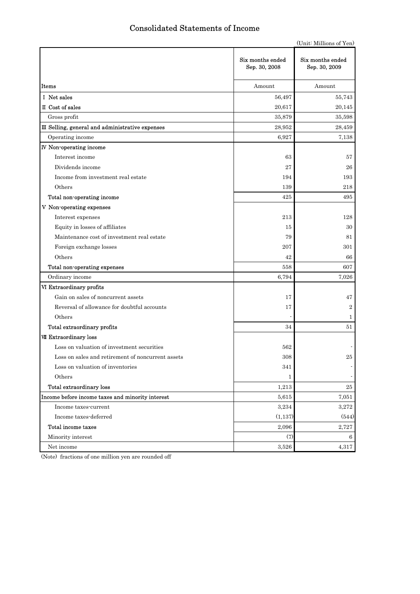## Consolidated Statements of Income

|                                                   |                                   | (Unit: Millions of Yen)           |
|---------------------------------------------------|-----------------------------------|-----------------------------------|
|                                                   | Six months ended<br>Sep. 30, 2008 | Six months ended<br>Sep. 30, 2009 |
| Items                                             | Amount                            | Amount                            |
| I Net sales                                       | 56,497                            | 55,743                            |
| II Cost of sales                                  | 20,617                            | 20,145                            |
| Gross profit                                      | 35,879                            | 35,598                            |
| III Selling, general and administrative expenses  | 28,952                            | 28,459                            |
| Operating income                                  | 6,927                             | 7,138                             |
| <b>IV</b> Non-operating income                    |                                   |                                   |
| Interest income                                   | 63                                | 57                                |
| Dividends income                                  | 27                                | 26                                |
| Income from investment real estate                | 194                               | 193                               |
| Others                                            | 139                               | 218                               |
| Total non-operating income                        | 425                               | 495                               |
| V Non-operating expenses                          |                                   |                                   |
| Interest expenses                                 | 213                               | 128                               |
| Equity in losses of affiliates                    | 15                                | 30                                |
| Maintenance cost of investment real estate        | 79                                | 81                                |
| Foreign exchange losses                           | 207                               | 301                               |
| Others                                            | 42                                | 66                                |
| Total non-operating expenses                      | 558                               | 607                               |
| Ordinary income                                   | 6,794                             | 7,026                             |
| VI Extraordinary profits                          |                                   |                                   |
| Gain on sales of noncurrent assets                | 17                                | 47                                |
| Reversal of allowance for doubtful accounts       | 17                                | $\overline{2}$                    |
| Others                                            |                                   | 1                                 |
| Total extraordinary profits                       | 34                                | 51                                |
| VII Extraordinary loss                            |                                   |                                   |
| Loss on valuation of investment securities        | 562                               |                                   |
| Loss on sales and retirement of noncurrent assets | 308                               | $25\,$                            |
| Loss on valuation of inventories                  | 341                               |                                   |
| Others                                            | $\mathbf{1}$                      |                                   |
| Total extraordinary loss                          | 1,213                             | 25                                |
| Income before income taxes and minority interest  | 5,615                             | 7,051                             |
| Income taxes-current                              | 3,234                             | 3,272                             |
| Income taxes-deferred                             | (1, 137)                          | (544)                             |
| Total income taxes                                | 2,096                             | 2,727                             |
| Minority interest                                 | (7)                               | 6                                 |
| Net income                                        | 3,526                             | 4,317                             |

(Note) fractions of one million yen are rounded off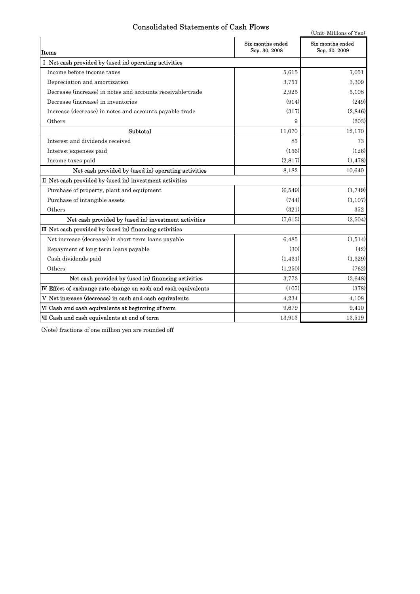## Consolidated Statements of Cash Flows

(Unit: Millions of Yen)

| Items                                                          | Six months ended<br>Sep. 30, 2008 | Six months ended<br>Sep. 30, 2009 |
|----------------------------------------------------------------|-----------------------------------|-----------------------------------|
| I Net cash provided by (used in) operating activities          |                                   |                                   |
| Income before income taxes                                     | 5.615                             | 7,051                             |
| Depreciation and amortization                                  | 3,751                             | 3,309                             |
| Decrease (increase) in notes and accounts receivable-trade     | 2,925                             | 5,108                             |
| Decrease (increase) in inventories                             | (914)                             | (249)                             |
| Increase (decrease) in notes and accounts payable-trade        | (317)                             | (2,846)                           |
| Others                                                         | 9                                 | (203)                             |
| Subtotal                                                       | 11,070                            | 12,170                            |
| Interest and dividends received                                | 85                                | 73                                |
| Interest expenses paid                                         | (156)                             | (126)                             |
| Income taxes paid                                              | (2,817)                           | (1, 478)                          |
| Net cash provided by (used in) operating activities            | 8,182                             | 10,640                            |
| II Net cash provided by (used in) investment activities        |                                   |                                   |
| Purchase of property, plant and equipment                      | (6,549)                           | (1,749)                           |
| Purchase of intangible assets                                  | (744)                             | (1, 107)                          |
| Others                                                         | (321)                             | 352                               |
| Net cash provided by (used in) investment activities           | (7,615)                           | (2,504)                           |
| III Net cash provided by (used in) financing activities        |                                   |                                   |
| Net increase (decrease) in short-term loans payable            | 6,485                             | (1,514)                           |
| Repayment of long-term loans payable                           | (30)                              | (42)                              |
| Cash dividends paid                                            | (1, 431)                          | (1,329)                           |
| Others                                                         | (1,250)                           | (762)                             |
| Net cash provided by (used in) financing activities            | 3,773                             | (3.648)                           |
| IV Effect of exchange rate change on cash and cash equivalents | (105)                             | (378)                             |
| V Net increase (decrease) in cash and cash equivalents         | 4,234                             | 4,108                             |
| VI Cash and cash equivalents at beginning of term              | 9.679                             | 9,410                             |
| VII Cash and cash equivalents at end of term                   | 13,913                            | 13,519                            |

(Note) fractions of one million yen are rounded off